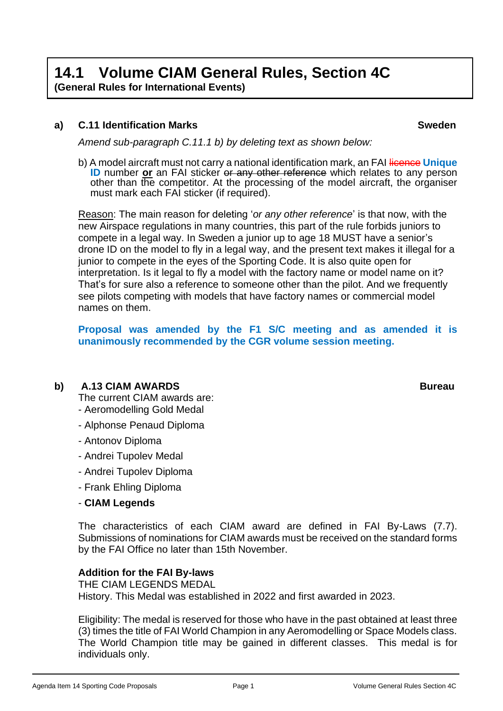# **14.1 Volume CIAM General Rules, Section 4C**

**(General Rules for International Events)**

# **a) C.11 Identification Marks Sweden**

*Amend sub-paragraph C.11.1 b) by deleting text as shown below:*

b) A model aircraft must not carry a national identification mark, an FAI licence **Unique ID** number or an FAI sticker or any other reference which relates to any person other than the competitor. At the processing of the model aircraft, the organiser must mark each FAI sticker (if required).

Reason: The main reason for deleting '*or any other reference*' is that now, with the new Airspace regulations in many countries, this part of the rule forbids juniors to compete in a legal way. In Sweden a junior up to age 18 MUST have a senior's drone ID on the model to fly in a legal way, and the present text makes it illegal for a junior to compete in the eyes of the Sporting Code. It is also quite open for interpretation. Is it legal to fly a model with the factory name or model name on it? That's for sure also a reference to someone other than the pilot. And we frequently see pilots competing with models that have factory names or commercial model names on them.

**Proposal was amended by the F1 S/C meeting and as amended it is unanimously recommended by the CGR volume session meeting.**

# **b) A.13 CIAM AWARDS Bureau**

The current CIAM awards are: - Aeromodelling Gold Medal

- Alphonse Penaud Diploma
- Antonov Diploma
- Andrei Tupolev Medal
- Andrei Tupolev Diploma
- Frank Ehling Diploma
- **CIAM Legends**

The characteristics of each CIAM award are defined in FAI By-Laws (7.7). Submissions of nominations for CIAM awards must be received on the standard forms by the FAI Office no later than 15th November.

## **Addition for the FAI By-laws**

THE CIAM LEGENDS MEDAL History. This Medal was established in 2022 and first awarded in 2023.

Eligibility: The medal is reserved for those who have in the past obtained at least three (3) times the title of FAI World Champion in any Aeromodelling or Space Models class. The World Champion title may be gained in different classes. This medal is for individuals only.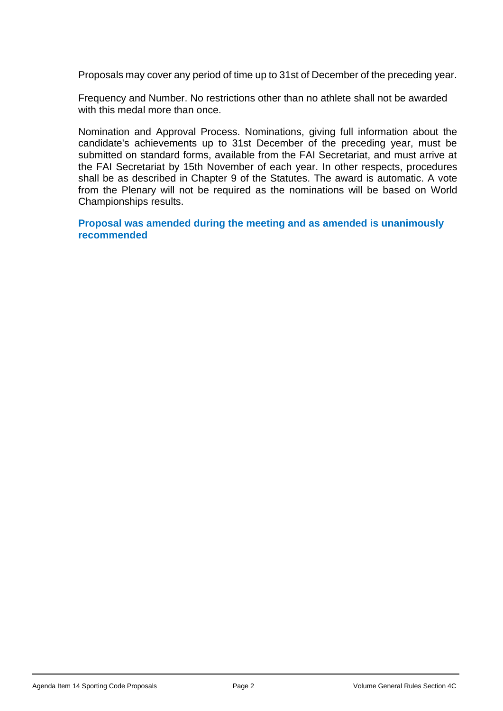Proposals may cover any period of time up to 31st of December of the preceding year.

Frequency and Number. No restrictions other than no athlete shall not be awarded with this medal more than once.

Nomination and Approval Process. Nominations, giving full information about the candidate's achievements up to 31st December of the preceding year, must be submitted on standard forms, available from the FAI Secretariat, and must arrive at the FAI Secretariat by 15th November of each year. In other respects, procedures shall be as described in Chapter 9 of the Statutes. The award is automatic. A vote from the Plenary will not be required as the nominations will be based on World Championships results.

**Proposal was amended during the meeting and as amended is unanimously recommended**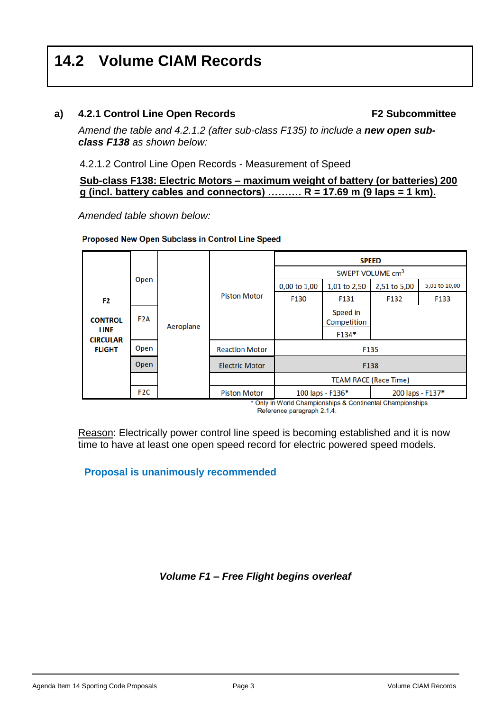# **14.2 Volume CIAM Records**

# **a) 4.2.1 Control Line Open Records F2 Subcommittee**

Amend the table and 4.2.1.2 (after sub-class F135) to include a **new open sub***class F138 as shown below:* 

4.2.1.2 Control Line Open Records - Measurement of Speed

**Sub-class F138: Electric Motors – maximum weight of battery (or batteries) 200 g (incl. battery cables and connectors) ………. R = 17.69 m (9 laps = 1 km).**

*Amended table shown below:*

#### **Proposed New Open Subclass in Control Line Speed**

| F <sub>2</sub><br><b>CONTROL</b><br><b>LINE</b><br><b>CIRCULAR</b><br><b>FLIGHT</b> | Open             | Aeroplane | <b>Piston Motor</b>   | <b>SPEED</b>                                                                                                                        |                         |              |               |
|-------------------------------------------------------------------------------------|------------------|-----------|-----------------------|-------------------------------------------------------------------------------------------------------------------------------------|-------------------------|--------------|---------------|
|                                                                                     |                  |           |                       | SWEPT VOLUME cm <sup>3</sup>                                                                                                        |                         |              |               |
|                                                                                     |                  |           |                       | 0,00 to 1,00                                                                                                                        | 1,01 to 2,50            | 2,51 to 5,00 | 5,01 to 10,00 |
|                                                                                     |                  |           |                       | F130                                                                                                                                | F131                    | F132         | F133          |
|                                                                                     | F <sub>2</sub> A |           |                       |                                                                                                                                     | Speed in<br>Competition |              |               |
|                                                                                     |                  |           |                       |                                                                                                                                     | F134*                   |              |               |
|                                                                                     | Open             |           | <b>Reaction Motor</b> | F135                                                                                                                                |                         |              |               |
|                                                                                     | Open             |           | <b>Electric Motor</b> | F138                                                                                                                                |                         |              |               |
|                                                                                     |                  |           |                       | <b>TEAM RACE (Race Time)</b>                                                                                                        |                         |              |               |
|                                                                                     | F <sub>2</sub> C |           | <b>Piston Motor</b>   | 100 laps - F136*<br>200 laps - F137*<br>$\sim$ $\sim$ $\sim$<br>$\sim$ $\sim$ $\sim$ $\sim$<br><b>Service Contracts</b><br>$\cdots$ |                         |              |               |

\* Only in World Championships & Continental Championships Reference paragraph 2.1.4.

Reason: Electrically power control line speed is becoming established and it is now time to have at least one open speed record for electric powered speed models.

**Proposal is unanimously recommended**

## *Volume F1 – Free Flight begins overleaf*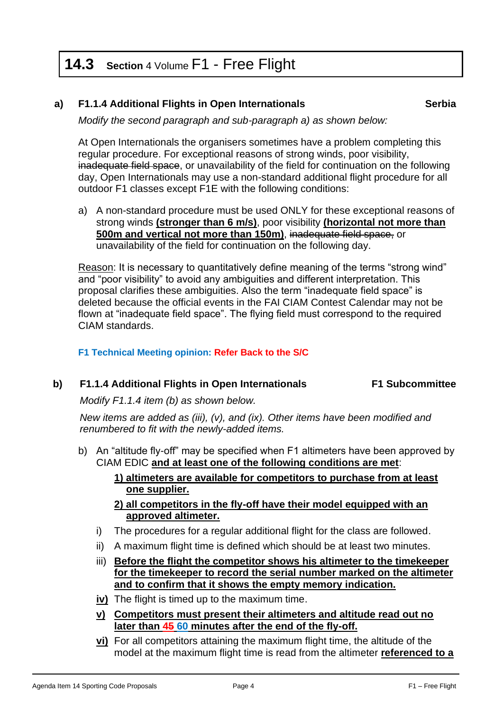# **14.3 Section** 4 Volume F1 - Free Flight

# **a) F1.1.4 Additional Flights in Open Internationals Serbia**

*Modify the second paragraph and sub-paragraph a) as shown below:*

At Open Internationals the organisers sometimes have a problem completing this regular procedure. For exceptional reasons of strong winds, poor visibility, inadequate field space, or unavailability of the field for continuation on the following day, Open Internationals may use a non-standard additional flight procedure for all outdoor F1 classes except F1E with the following conditions:

a) A non-standard procedure must be used ONLY for these exceptional reasons of strong winds **(stronger than 6 m/s)**, poor visibility **(horizontal not more than 500m and vertical not more than 150m)**, inadequate field space, or unavailability of the field for continuation on the following day.

Reason: It is necessary to quantitatively define meaning of the terms "strong wind" and "poor visibility" to avoid any ambiguities and different interpretation. This proposal clarifies these ambiguities. Also the term "inadequate field space" is deleted because the official events in the FAI CIAM Contest Calendar may not be flown at "inadequate field space". The flying field must correspond to the required CIAM standards.

**F1 Technical Meeting opinion: Refer Back to the S/C** 

## **b) F1.1.4 Additional Flights in Open Internationals F1 Subcommittee**

*Modify F1.1.4 item (b) as shown below.* 

*New items are added as (iii), (v), and (ix). Other items have been modified and renumbered to fit with the newly-added items.*

- b) An "altitude fly-off" may be specified when F1 altimeters have been approved by CIAM EDIC **and at least one of the following conditions are met**:
	- **1) altimeters are available for competitors to purchase from at least one supplier.**
	- **2) all competitors in the fly-off have their model equipped with an approved altimeter.**
	- i) The procedures for a regular additional flight for the class are followed.
	- ii) A maximum flight time is defined which should be at least two minutes.
	- iii) **Before the flight the competitor shows his altimeter to the timekeeper for the timekeeper to record the serial number marked on the altimeter and to confirm that it shows the empty memory indication.**
	- **iv)** The flight is timed up to the maximum time.
	- **v) Competitors must present their altimeters and altitude read out no later than 45 60 minutes after the end of the fly-off.**
	- **vi)** For all competitors attaining the maximum flight time, the altitude of the model at the maximum flight time is read from the altimeter **referenced to a**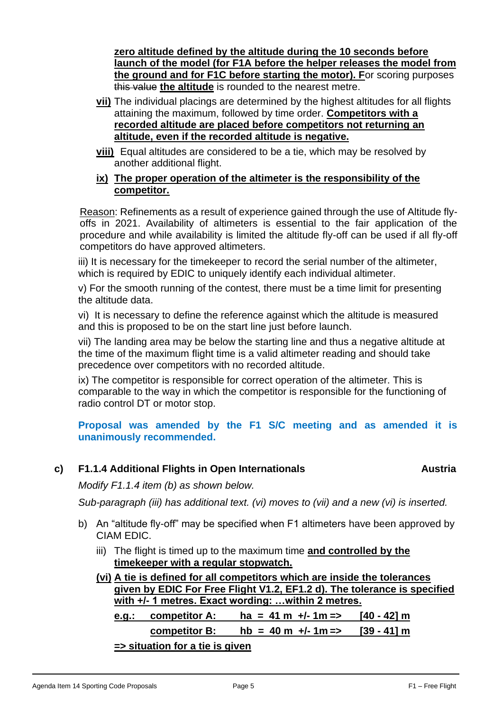**zero altitude defined by the altitude during the 10 seconds before launch of the model (for F1A before the helper releases the model from the ground and for F1C before starting the motor). F**or scoring purposes this value **the altitude** is rounded to the nearest metre.

- **vii)** The individual placings are determined by the highest altitudes for all flights attaining the maximum, followed by time order. **Competitors with a recorded altitude are placed before competitors not returning an altitude, even if the recorded altitude is negative.**
- **viii)** Equal altitudes are considered to be a tie, which may be resolved by another additional flight.

## **ix) The proper operation of the altimeter is the responsibility of the competitor.**

Reason: Refinements as a result of experience gained through the use of Altitude flyoffs in 2021. Availability of altimeters is essential to the fair application of the procedure and while availability is limited the altitude fly-off can be used if all fly-off competitors do have approved altimeters.

iii) It is necessary for the timekeeper to record the serial number of the altimeter, which is required by EDIC to uniquely identify each individual altimeter.

v) For the smooth running of the contest, there must be a time limit for presenting the altitude data.

vi) It is necessary to define the reference against which the altitude is measured and this is proposed to be on the start line just before launch.

vii) The landing area may be below the starting line and thus a negative altitude at the time of the maximum flight time is a valid altimeter reading and should take precedence over competitors with no recorded altitude.

ix) The competitor is responsible for correct operation of the altimeter. This is comparable to the way in which the competitor is responsible for the functioning of radio control DT or motor stop.

**Proposal was amended by the F1 S/C meeting and as amended it is unanimously recommended.** 

# **c) F1.1.4 Additional Flights in Open Internationals Austria**

*Modify F1.1.4 item (b) as shown below.* 

*Sub-paragraph (iii) has additional text. (vi) moves to (vii) and a new (vi) is inserted.*

- b) An "altitude fly-off" may be specified when F1 altimeters have been approved by CIAM EDIC.
	- iii) The flight is timed up to the maximum time **and controlled by the timekeeper with a regular stopwatch.**
	- **(vi) A tie is defined for all competitors which are inside the tolerances given by EDIC For Free Flight V1.2, EF1.2 d). The tolerance is specified with +/- 1 metres. Exact wording: …within 2 metres. e.g.: competitor A: ha = 41 m +/- 1m => [40 - 42] m competitor B: hb = 40 m +/- 1m => [39 - 41] m => situation for a tie is given**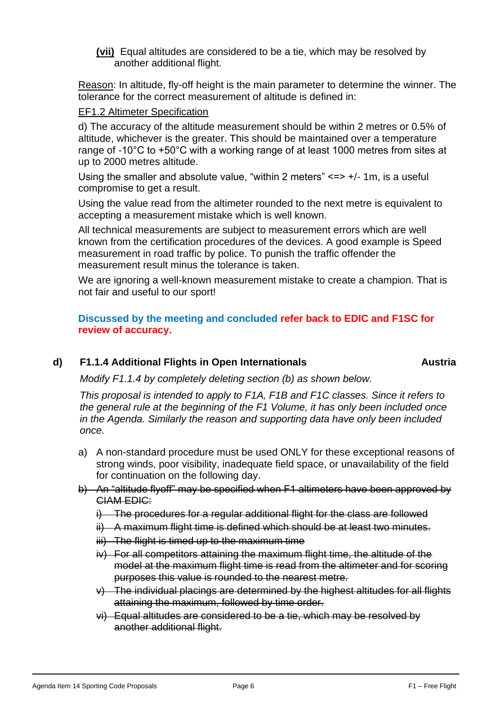**(vii)** Equal altitudes are considered to be a tie, which may be resolved by another additional flight.

Reason: In altitude, fly-off height is the main parameter to determine the winner. The tolerance for the correct measurement of altitude is defined in:

#### EF1.2 Altimeter Specification

d) The accuracy of the altitude measurement should be within 2 metres or 0.5% of altitude, whichever is the greater. This should be maintained over a temperature range of -10°C to +50°C with a working range of at least 1000 metres from sites at up to 2000 metres altitude.

Using the smaller and absolute value, "within 2 meters" <=> +/- 1m, is a useful compromise to get a result.

Using the value read from the altimeter rounded to the next metre is equivalent to accepting a measurement mistake which is well known.

All technical measurements are subject to measurement errors which are well known from the certification procedures of the devices. A good example is Speed measurement in road traffic by police. To punish the traffic offender the measurement result minus the tolerance is taken.

We are ignoring a well-known measurement mistake to create a champion. That is not fair and useful to our sport!

# **Discussed by the meeting and concluded refer back to EDIC and F1SC for review of accuracy.**

# **d) F1.1.4 Additional Flights in Open Internationals Austria**

*Modify F1.1.4 by completely deleting section (b) as shown below.* 

*This proposal is intended to apply to F1A, F1B and F1C classes. Since it refers to the general rule at the beginning of the F1 Volume, it has only been included once in the Agenda. Similarly the reason and supporting data have only been included once.*

- a) A non-standard procedure must be used ONLY for these exceptional reasons of strong winds, poor visibility, inadequate field space, or unavailability of the field for continuation on the following day.
- b) An "altitude flyoff" may be specified when F1 altimeters have been approved by CIAM EDIC:
	- i) The procedures for a regular additional flight for the class are followed
	- ii) A maximum flight time is defined which should be at least two minutes.
	- iii) The flight is timed up to the maximum time
	- iv) For all competitors attaining the maximum flight time, the altitude of the model at the maximum flight time is read from the altimeter and for scoring purposes this value is rounded to the nearest metre.
	- $\overrightarrow{v}$  The individual placings are determined by the highest altitudes for all flights attaining the maximum, followed by time order.
	- vi) Equal altitudes are considered to be a tie, which may be resolved by another additional flight.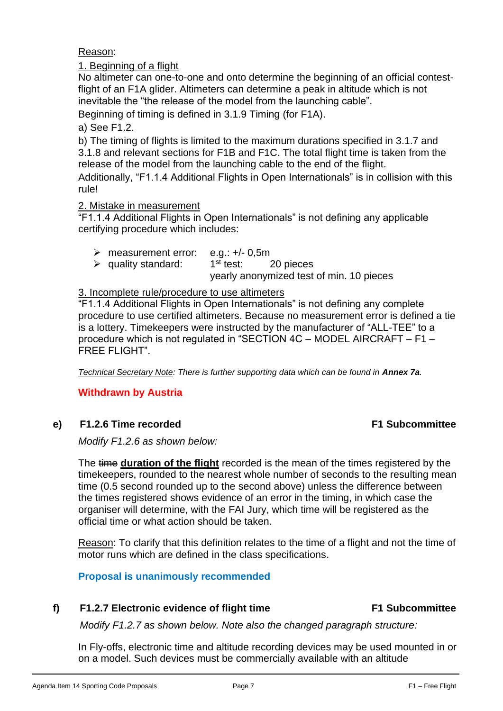Reason:

1. Beginning of a flight

No altimeter can one-to-one and onto determine the beginning of an official contestflight of an F1A glider. Altimeters can determine a peak in altitude which is not inevitable the "the release of the model from the launching cable".

Beginning of timing is defined in 3.1.9 Timing (for F1A).

a) See F1.2.

b) The timing of flights is limited to the maximum durations specified in 3.1.7 and 3.1.8 and relevant sections for F1B and F1C. The total flight time is taken from the release of the model from the launching cable to the end of the flight.

Additionally, "F1.1.4 Additional Flights in Open Internationals" is in collision with this rule!

# 2. Mistake in measurement

"F1.1.4 Additional Flights in Open Internationals" is not defining any applicable certifying procedure which includes:

| $\triangleright$ measurement error: e.g.: +/- 0.5m |                                          |  |  |  |
|----------------------------------------------------|------------------------------------------|--|--|--|
| $\triangleright$ quality standard:                 | $1st$ test: 20 pieces                    |  |  |  |
|                                                    | yearly anonymized test of min. 10 pieces |  |  |  |

# 3. Incomplete rule/procedure to use altimeters

"F1.1.4 Additional Flights in Open Internationals" is not defining any complete procedure to use certified altimeters. Because no measurement error is defined a tie is a lottery. Timekeepers were instructed by the manufacturer of "ALL-TEE" to a procedure which is not regulated in "SECTION 4C – MODEL AIRCRAFT – F1 – FREE FLIGHT".

*Technical Secretary Note: There is further supporting data which can be found in Annex 7a.* 

# **Withdrawn by Austria**

# **e) F1.2.6 Time recorded F1 Subcommittee**

*Modify F1.2.6 as shown below:*

The time **duration of the flight** recorded is the mean of the times registered by the timekeepers, rounded to the nearest whole number of seconds to the resulting mean time (0.5 second rounded up to the second above) unless the difference between the times registered shows evidence of an error in the timing, in which case the organiser will determine, with the FAI Jury, which time will be registered as the official time or what action should be taken.

Reason: To clarify that this definition relates to the time of a flight and not the time of motor runs which are defined in the class specifications.

**Proposal is unanimously recommended**

# **f) F1.2.7 Electronic evidence of flight time F1 Subcommittee**

*Modify F1.2.7 as shown below. Note also the changed paragraph structure:*

In Fly-offs, electronic time and altitude recording devices may be used mounted in or on a model. Such devices must be commercially available with an altitude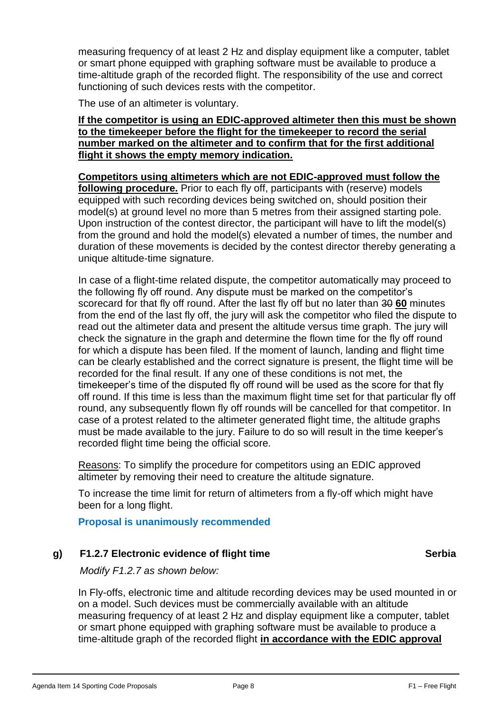measuring frequency of at least 2 Hz and display equipment like a computer, tablet or smart phone equipped with graphing software must be available to produce a time-altitude graph of the recorded flight. The responsibility of the use and correct functioning of such devices rests with the competitor.

The use of an altimeter is voluntary.

#### **If the competitor is using an EDIC-approved altimeter then this must be shown to the timekeeper before the flight for the timekeeper to record the serial number marked on the altimeter and to confirm that for the first additional flight it shows the empty memory indication.**

**Competitors using altimeters which are not EDIC-approved must follow the following procedure.** Prior to each fly off, participants with (reserve) models equipped with such recording devices being switched on, should position their model(s) at ground level no more than 5 metres from their assigned starting pole. Upon instruction of the contest director, the participant will have to lift the model(s) from the ground and hold the model(s) elevated a number of times, the number and duration of these movements is decided by the contest director thereby generating a unique altitude-time signature.

In case of a flight-time related dispute, the competitor automatically may proceed to the following fly off round. Any dispute must be marked on the competitor's scorecard for that fly off round. After the last fly off but no later than 30 **60** minutes from the end of the last fly off, the jury will ask the competitor who filed the dispute to read out the altimeter data and present the altitude versus time graph. The jury will check the signature in the graph and determine the flown time for the fly off round for which a dispute has been filed. If the moment of launch, landing and flight time can be clearly established and the correct signature is present, the flight time will be recorded for the final result. If any one of these conditions is not met, the timekeeper's time of the disputed fly off round will be used as the score for that fly off round. If this time is less than the maximum flight time set for that particular fly off round, any subsequently flown fly off rounds will be cancelled for that competitor. In case of a protest related to the altimeter generated flight time, the altitude graphs must be made available to the jury. Failure to do so will result in the time keeper's recorded flight time being the official score.

Reasons: To simplify the procedure for competitors using an EDIC approved altimeter by removing their need to creature the altitude signature.

To increase the time limit for return of altimeters from a fly-off which might have been for a long flight.

**Proposal is unanimously recommended**

# **g) F1.2.7 Electronic evidence of flight time Serbia**

*Modify F1.2.7 as shown below:*

In Fly-offs, electronic time and altitude recording devices may be used mounted in or on a model. Such devices must be commercially available with an altitude measuring frequency of at least 2 Hz and display equipment like a computer, tablet or smart phone equipped with graphing software must be available to produce a time-altitude graph of the recorded flight **in accordance with the EDIC approval**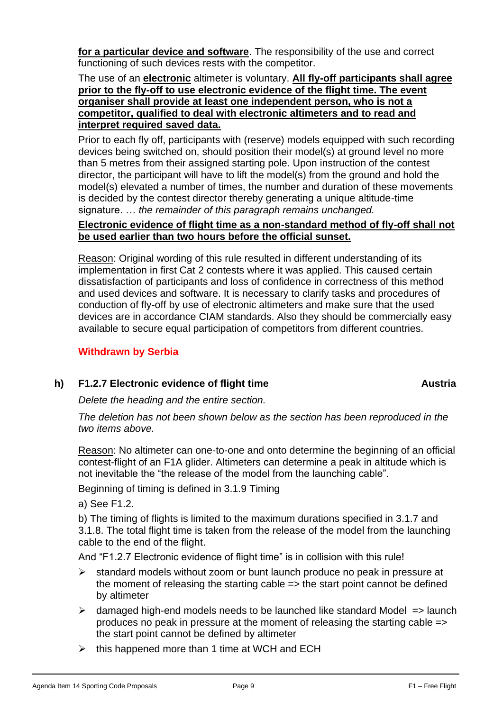**for a particular device and software**. The responsibility of the use and correct functioning of such devices rests with the competitor.

## The use of an **electronic** altimeter is voluntary. **All fly-off participants shall agree prior to the fly-off to use electronic evidence of the flight time. The event organiser shall provide at least one independent person, who is not a competitor, qualified to deal with electronic altimeters and to read and interpret required saved data.**

Prior to each fly off, participants with (reserve) models equipped with such recording devices being switched on, should position their model(s) at ground level no more than 5 metres from their assigned starting pole. Upon instruction of the contest director, the participant will have to lift the model(s) from the ground and hold the model(s) elevated a number of times, the number and duration of these movements is decided by the contest director thereby generating a unique altitude-time signature. … *the remainder of this paragraph remains unchanged.*

# **Electronic evidence of flight time as a non-standard method of fly-off shall not be used earlier than two hours before the official sunset.**

Reason: Original wording of this rule resulted in different understanding of its implementation in first Cat 2 contests where it was applied. This caused certain dissatisfaction of participants and loss of confidence in correctness of this method and used devices and software. It is necessary to clarify tasks and procedures of conduction of fly-off by use of electronic altimeters and make sure that the used devices are in accordance CIAM standards. Also they should be commercially easy available to secure equal participation of competitors from different countries.

# **Withdrawn by Serbia**

# **h) F1.2.7 Electronic evidence of flight time Austria**

*Delete the heading and the entire section.*

*The deletion has not been shown below as the section has been reproduced in the two items above.*

Reason: No altimeter can one-to-one and onto determine the beginning of an official contest-flight of an F1A glider. Altimeters can determine a peak in altitude which is not inevitable the "the release of the model from the launching cable".

Beginning of timing is defined in 3.1.9 Timing

a) See F1.2.

b) The timing of flights is limited to the maximum durations specified in 3.1.7 and 3.1.8. The total flight time is taken from the release of the model from the launching cable to the end of the flight.

And "F1.2.7 Electronic evidence of flight time" is in collision with this rule!

- ➢ standard models without zoom or bunt launch produce no peak in pressure at the moment of releasing the starting cable => the start point cannot be defined by altimeter
- $\triangleright$  damaged high-end models needs to be launched like standard Model => launch produces no peak in pressure at the moment of releasing the starting cable => the start point cannot be defined by altimeter
- $\triangleright$  this happened more than 1 time at WCH and ECH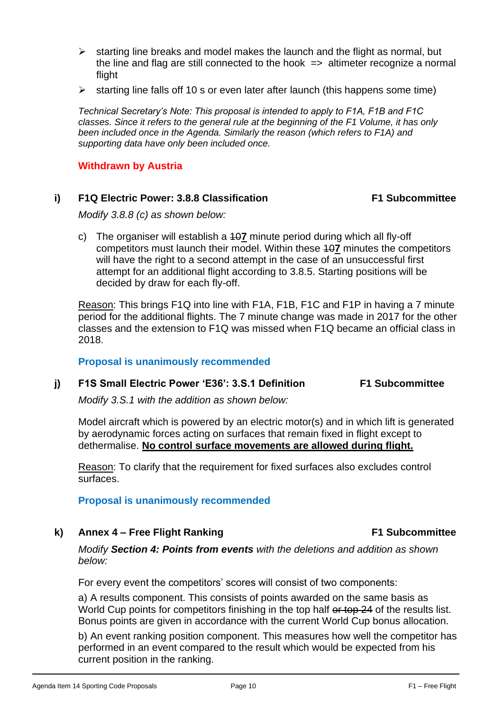- $\triangleright$  starting line breaks and model makes the launch and the flight as normal, but the line and flag are still connected to the hook  $\Rightarrow$  altimeter recognize a normal flight
- $\triangleright$  starting line falls off 10 s or even later after launch (this happens some time)

*Technical Secretary's Note: This proposal is intended to apply to F1A, F1B and F1C classes. Since it refers to the general rule at the beginning of the F1 Volume, it has only been included once in the Agenda. Similarly the reason (which refers to F1A) and supporting data have only been included once.*

#### **Withdrawn by Austria**

## **i) F1Q Electric Power: 3.8.8 Classification F1 Subcommittee**

*Modify 3.8.8 (c) as shown below:*

c) The organiser will establish a 10**7** minute period during which all fly-off competitors must launch their model. Within these 10**7** minutes the competitors will have the right to a second attempt in the case of an unsuccessful first attempt for an additional flight according to 3.8.5. Starting positions will be decided by draw for each fly-off.

Reason: This brings F1Q into line with F1A, F1B, F1C and F1P in having a 7 minute period for the additional flights. The 7 minute change was made in 2017 for the other classes and the extension to F1Q was missed when F1Q became an official class in 2018.

**Proposal is unanimously recommended**

#### **j) F1S Small Electric Power 'E36': 3.S.1 Definition F1 Subcommittee**

*Modify 3.S.1 with the addition as shown below:* 

Model aircraft which is powered by an electric motor(s) and in which lift is generated by aerodynamic forces acting on surfaces that remain fixed in flight except to dethermalise. **No control surface movements are allowed during flight.**

Reason: To clarify that the requirement for fixed surfaces also excludes control surfaces.

## **Proposal is unanimously recommended**

**k) Annex 4 – Free Flight Ranking F1 Subcommittee**

*Modify Section 4: Points from events with the deletions and addition as shown below:* 

For every event the competitors' scores will consist of two components:

a) A results component. This consists of points awarded on the same basis as World Cup points for competitors finishing in the top half or top 24 of the results list. Bonus points are given in accordance with the current World Cup bonus allocation.

b) An event ranking position component. This measures how well the competitor has performed in an event compared to the result which would be expected from his current position in the ranking.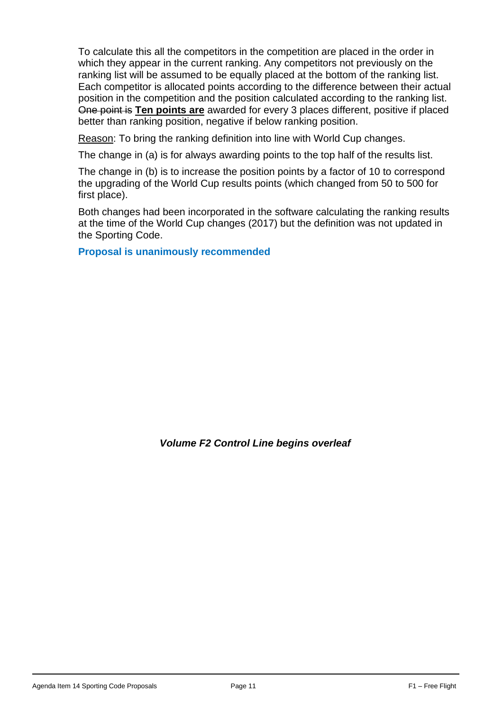To calculate this all the competitors in the competition are placed in the order in which they appear in the current ranking. Any competitors not previously on the ranking list will be assumed to be equally placed at the bottom of the ranking list. Each competitor is allocated points according to the difference between their actual position in the competition and the position calculated according to the ranking list. One point is **Ten points are** awarded for every 3 places different, positive if placed better than ranking position, negative if below ranking position.

Reason: To bring the ranking definition into line with World Cup changes.

The change in (a) is for always awarding points to the top half of the results list.

The change in (b) is to increase the position points by a factor of 10 to correspond the upgrading of the World Cup results points (which changed from 50 to 500 for first place).

Both changes had been incorporated in the software calculating the ranking results at the time of the World Cup changes (2017) but the definition was not updated in the Sporting Code.

**Proposal is unanimously recommended**

*Volume F2 Control Line begins overleaf*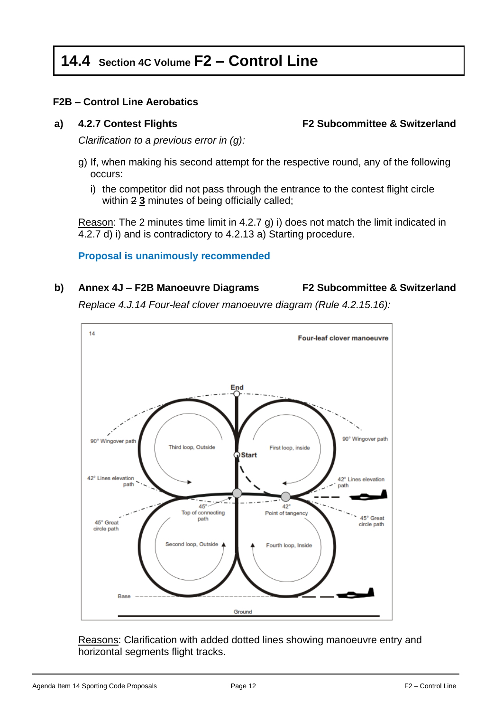# **14.4 Section 4C Volume F2 – Control Line**

# **F2B – Control Line Aerobatics**

**a) 4.2.7 Contest Flights F2 Subcommittee & Switzerland**

*Clarification to a previous error in (g):*

- g) If, when making his second attempt for the respective round, any of the following occurs:
	- i) the competitor did not pass through the entrance to the contest flight circle within 2 **3** minutes of being officially called;

Reason: The 2 minutes time limit in 4.2.7 g) i) does not match the limit indicated in 4.2.7 d) i) and is contradictory to 4.2.13 a) Starting procedure.

## **Proposal is unanimously recommended**

# **b) Annex 4J – F2B Manoeuvre Diagrams F2 Subcommittee & Switzerland**

*Replace 4.J.14 Four-leaf clover manoeuvre diagram (Rule 4.2.15.16):*



Reasons: Clarification with added dotted lines showing manoeuvre entry and horizontal segments flight tracks.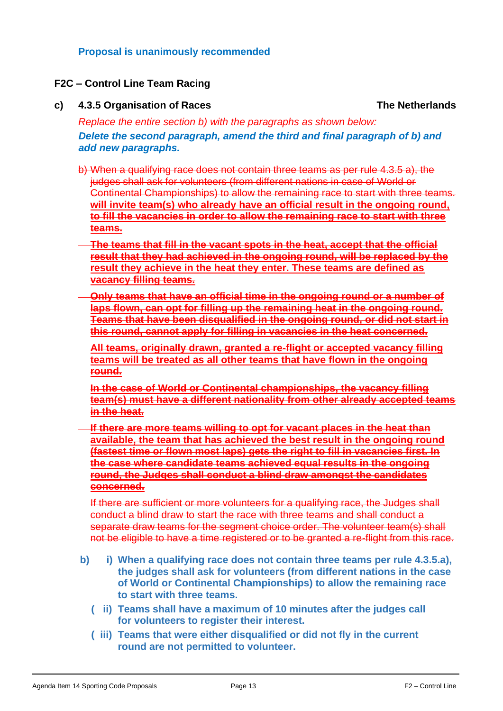## **Proposal is unanimously recommended**

## **F2C – Control Line Team Racing**

#### **c) 4.3.5 Organisation of Races** The Netherlands

*Replace the entire section b) with the paragraphs as shown below: Delete the second paragraph, amend the third and final paragraph of b) and add new paragraphs.*

- b) When a qualifying race does not contain three teams as per rule 4.3.5 a), the judges shall ask for volunteers (from different nations in case of World or Continental Championships) to allow the remaining race to start with three teams. **will invite team(s) who already have an official result in the ongoing round, to fill the vacancies in order to allow the remaining race to start with three teams.**
- **The teams that fill in the vacant spots in the heat, accept that the official result that they had achieved in the ongoing round, will be replaced by the result they achieve in the heat they enter. These teams are defined as vacancy filling teams.**
- **Only teams that have an official time in the ongoing round or a number of laps flown, can opt for filling up the remaining heat in the ongoing round. Teams that have been disqualified in the ongoing round, or did not start in this round, cannot apply for filling in vacancies in the heat concerned.**

**All teams, originally drawn, granted a re-flight or accepted vacancy filling teams will be treated as all other teams that have flown in the ongoing round.**

**In the case of World or Continental championships, the vacancy filling team(s) must have a different nationality from other already accepted teams in the heat.**

**If there are more teams willing to opt for vacant places in the heat than available, the team that has achieved the best result in the ongoing round (fastest time or flown most laps) gets the right to fill in vacancies first. In the case where candidate teams achieved equal results in the ongoing round, the Judges shall conduct a blind draw amongst the candidates concerned.**

If there are sufficient or more volunteers for a qualifying race, the Judges shall conduct a blind draw to start the race with three teams and shall conduct a separate draw teams for the segment choice order. The volunteer team(s) shall not be eligible to have a time registered or to be granted a re-flight from this race.

- **b) i) When a qualifying race does not contain three teams per rule 4.3.5.a), the judges shall ask for volunteers (from different nations in the case of World or Continental Championships) to allow the remaining race to start with three teams.** 
	- **( ii) Teams shall have a maximum of 10 minutes after the judges call for volunteers to register their interest.**
	- **( iii) Teams that were either disqualified or did not fly in the current round are not permitted to volunteer.**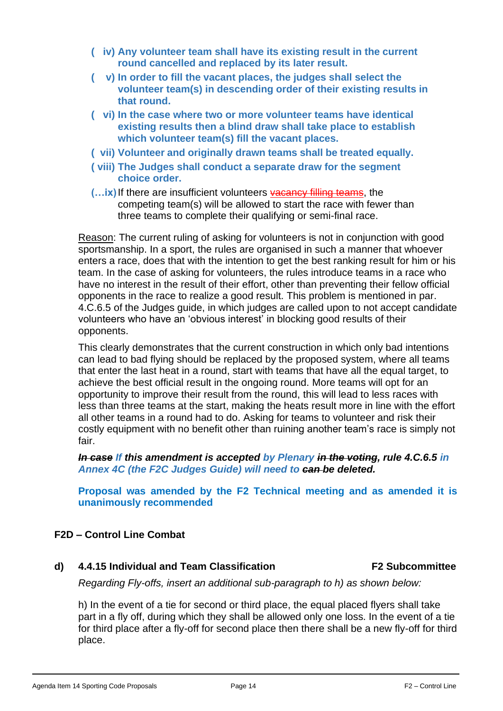- **( iv) Any volunteer team shall have its existing result in the current round cancelled and replaced by its later result.**
- **( v) In order to fill the vacant places, the judges shall select the volunteer team(s) in descending order of their existing results in that round.**
- **( vi) In the case where two or more volunteer teams have identical existing results then a blind draw shall take place to establish which volunteer team(s) fill the vacant places.**
- **( vii) Volunteer and originally drawn teams shall be treated equally.**
- **( viii) The Judges shall conduct a separate draw for the segment choice order.**
- **(…ix)**If there are insufficient volunteers vacancy filling teams, the competing team(s) will be allowed to start the race with fewer than three teams to complete their qualifying or semi-final race.

Reason: The current ruling of asking for volunteers is not in conjunction with good sportsmanship. In a sport, the rules are organised in such a manner that whoever enters a race, does that with the intention to get the best ranking result for him or his team. In the case of asking for volunteers, the rules introduce teams in a race who have no interest in the result of their effort, other than preventing their fellow official opponents in the race to realize a good result. This problem is mentioned in par. 4.C.6.5 of the Judges guide, in which judges are called upon to not accept candidate volunteers who have an 'obvious interest' in blocking good results of their opponents.

This clearly demonstrates that the current construction in which only bad intentions can lead to bad flying should be replaced by the proposed system, where all teams that enter the last heat in a round, start with teams that have all the equal target, to achieve the best official result in the ongoing round. More teams will opt for an opportunity to improve their result from the round, this will lead to less races with less than three teams at the start, making the heats result more in line with the effort all other teams in a round had to do. Asking for teams to volunteer and risk their costly equipment with no benefit other than ruining another team's race is simply not fair.

*In case If this amendment is accepted by Plenary in the voting, rule 4.C.6.5 in Annex 4C (the F2C Judges Guide) will need to can be deleted.*

**Proposal was amended by the F2 Technical meeting and as amended it is unanimously recommended**

## **F2D – Control Line Combat**

## **d) 4.4.15 Individual and Team Classification F2 Subcommittee**

*Regarding Fly-offs, insert an additional sub-paragraph to h) as shown below:*

h) In the event of a tie for second or third place, the equal placed flyers shall take part in a fly off, during which they shall be allowed only one loss. In the event of a tie for third place after a fly-off for second place then there shall be a new fly-off for third place.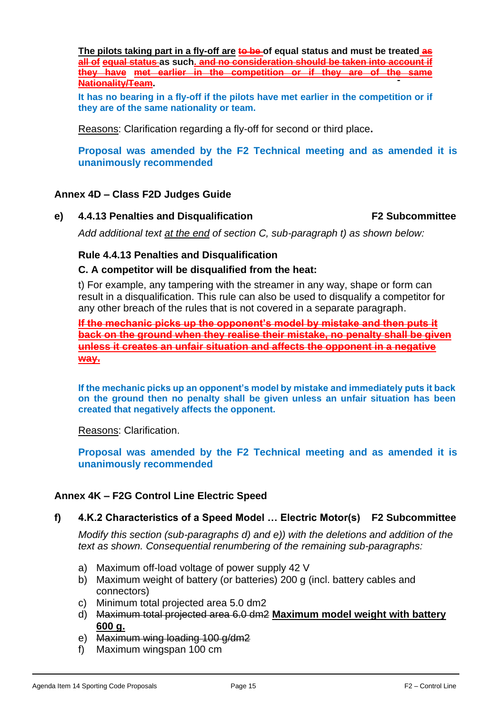**The pilots taking part in a fly-off are to be of equal status and must be treated as all of equal status as such. and no consideration should be taken into account if they have met earlier in the competition or if they are of the same Nationality/Team.**

**It has no bearing in a fly-off if the pilots have met earlier in the competition or if they are of the same nationality or team.**

Reasons: Clarification regarding a fly-off for second or third place**.**

**Proposal was amended by the F2 Technical meeting and as amended it is unanimously recommended**

## **Annex 4D – Class F2D Judges Guide**

**e) 4.4.13 Penalties and Disqualification F2 Subcommittee**

*Add additional text at the end of section C, sub-paragraph t) as shown below:*

#### **Rule 4.4.13 Penalties and Disqualification**

#### **C. A competitor will be disqualified from the heat:**

t) For example, any tampering with the streamer in any way, shape or form can result in a disqualification. This rule can also be used to disqualify a competitor for any other breach of the rules that is not covered in a separate paragraph.

**If the mechanic picks up the opponent's model by mistake and then puts it back on the ground when they realise their mistake, no penalty shall be given unless it creates an unfair situation and affects the opponent in a negative way.**

**If the mechanic picks up an opponent's model by mistake and immediately puts it back on the ground then no penalty shall be given unless an unfair situation has been created that negatively affects the opponent.**

Reasons: Clarification.

**Proposal was amended by the F2 Technical meeting and as amended it is unanimously recommended**

#### **Annex 4K – F2G Control Line Electric Speed**

#### **f) 4.K.2 Characteristics of a Speed Model … Electric Motor(s) F2 Subcommittee**

*Modify this section (sub-paragraphs d) and e)) with the deletions and addition of the text as shown. Consequential renumbering of the remaining sub-paragraphs:*

- a) Maximum off-load voltage of power supply 42 V
- b) Maximum weight of battery (or batteries) 200 g (incl. battery cables and connectors)
- c) Minimum total projected area 5.0 dm2
- d) Maximum total projected area 6.0 dm2 **Maximum model weight with battery 600 g.**
- e) Maximum wing loading 100 g/dm2
- f) Maximum wingspan 100 cm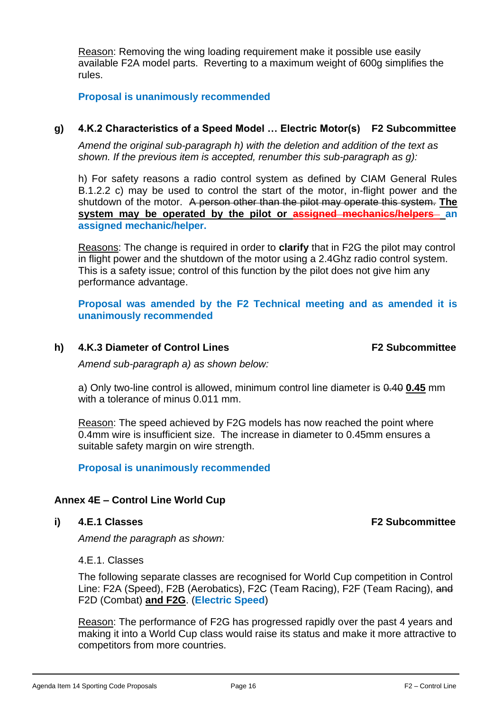Reason: Removing the wing loading requirement make it possible use easily available F2A model parts. Reverting to a maximum weight of 600g simplifies the rules.

**Proposal is unanimously recommended**

# **g) 4.K.2 Characteristics of a Speed Model … Electric Motor(s) F2 Subcommittee**

*Amend the original sub-paragraph h) with the deletion and addition of the text as shown. If the previous item is accepted, renumber this sub-paragraph as g):*

h) For safety reasons a radio control system as defined by CIAM General Rules B.1.2.2 c) may be used to control the start of the motor, in-flight power and the shutdown of the motor. A person other than the pilot may operate this system. **The system may be operated by the pilot or assigned mechanics/helpers an assigned mechanic/helper.**

Reasons: The change is required in order to **clarify** that in F2G the pilot may control in flight power and the shutdown of the motor using a 2.4Ghz radio control system. This is a safety issue; control of this function by the pilot does not give him any performance advantage.

**Proposal was amended by the F2 Technical meeting and as amended it is unanimously recommended**

# h) 4.K.3 Diameter of Control Lines F2 Subcommittee

*Amend sub-paragraph a) as shown below:*

a) Only two-line control is allowed, minimum control line diameter is 0.40 **0.45** mm with a tolerance of minus 0.011 mm.

Reason: The speed achieved by F2G models has now reached the point where 0.4mm wire is insufficient size. The increase in diameter to 0.45mm ensures a suitable safety margin on wire strength.

**Proposal is unanimously recommended**

# **Annex 4E – Control Line World Cup**

## **i) 4.E.1 Classes F2 Subcommittee**

*Amend the paragraph as shown:*

4.E.1. Classes

The following separate classes are recognised for World Cup competition in Control Line: F2A (Speed), F2B (Aerobatics), F2C (Team Racing), F2F (Team Racing), and F2D (Combat) **and F2G**. (**Electric Speed**)

Reason: The performance of F2G has progressed rapidly over the past 4 years and making it into a World Cup class would raise its status and make it more attractive to competitors from more countries.

Agenda Item 14 Sporting Code Proposals **Page 16** Page 16 F2 – Control Line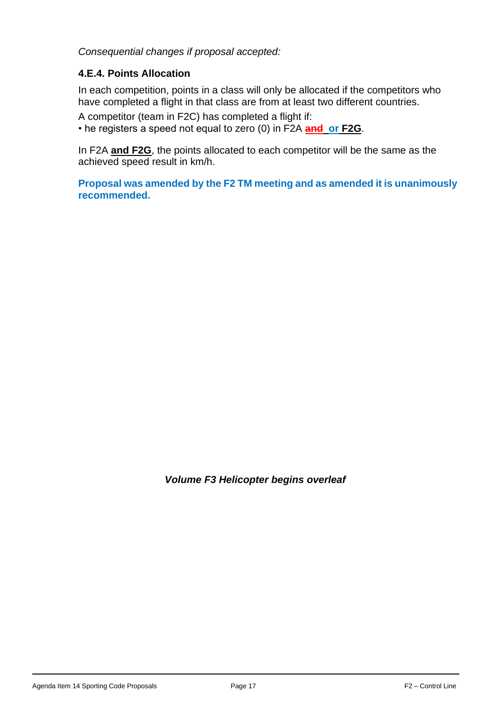*Consequential changes if proposal accepted:*

# **4.E.4. Points Allocation**

In each competition, points in a class will only be allocated if the competitors who have completed a flight in that class are from at least two different countries.

A competitor (team in F2C) has completed a flight if: • he registers a speed not equal to zero (0) in F2A **and or F2G**.

In F2A **and F2G**, the points allocated to each competitor will be the same as the achieved speed result in km/h.

**Proposal was amended by the F2 TM meeting and as amended it is unanimously recommended.**

*Volume F3 Helicopter begins overleaf*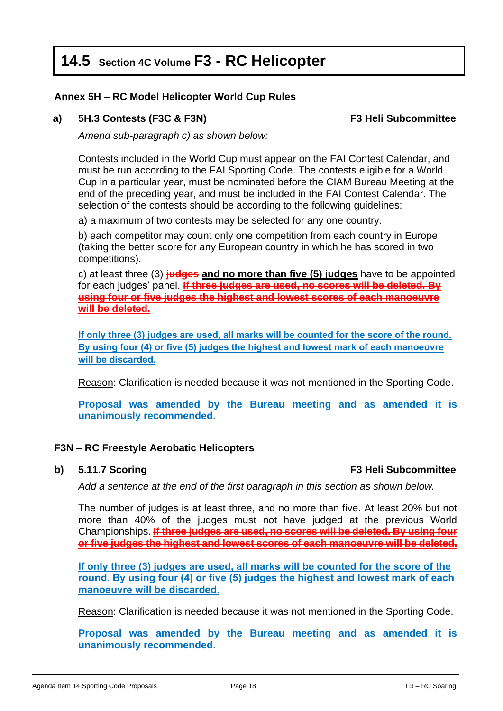# **14.5 Section 4C Volume F3 - RC Helicopter**

# **Annex 5H – RC Model Helicopter World Cup Rules**

# **a) 5H.3 Contests (F3C & F3N) F3 Heli Subcommittee**

*Amend sub-paragraph c) as shown below:*

Contests included in the World Cup must appear on the FAI Contest Calendar, and must be run according to the FAI Sporting Code. The contests eligible for a World Cup in a particular year, must be nominated before the CIAM Bureau Meeting at the end of the preceding year, and must be included in the FAI Contest Calendar. The selection of the contests should be according to the following guidelines:

a) a maximum of two contests may be selected for any one country.

b) each competitor may count only one competition from each country in Europe (taking the better score for any European country in which he has scored in two competitions).

c) at least three (3) **judges and no more than five (5) judges** have to be appointed for each judges' panel. **If three judges are used, no scores will be deleted. By using four or five judges the highest and lowest scores of each manoeuvre will be deleted.**

**If only three (3) judges are used, all marks will be counted for the score of the round. By using four (4) or five (5) judges the highest and lowest mark of each manoeuvre will be discarded.**

Reason: Clarification is needed because it was not mentioned in the Sporting Code.

**Proposal was amended by the Bureau meeting and as amended it is unanimously recommended.** 

## **F3N – RC Freestyle Aerobatic Helicopters**

#### **b) 5.11.7 Scoring <b>F3** Heli Subcommittee

*Add a sentence at the end of the first paragraph in this section as shown below.*

The number of judges is at least three, and no more than five. At least 20% but not more than 40% of the judges must not have judged at the previous World Championships. **If three judges are used, no scores will be deleted. By using four or five judges the highest and lowest scores of each manoeuvre will be deleted.**

**If only three (3) judges are used, all marks will be counted for the score of the round. By using four (4) or five (5) judges the highest and lowest mark of each manoeuvre will be discarded.**

Reason: Clarification is needed because it was not mentioned in the Sporting Code.

**Proposal was amended by the Bureau meeting and as amended it is unanimously recommended.**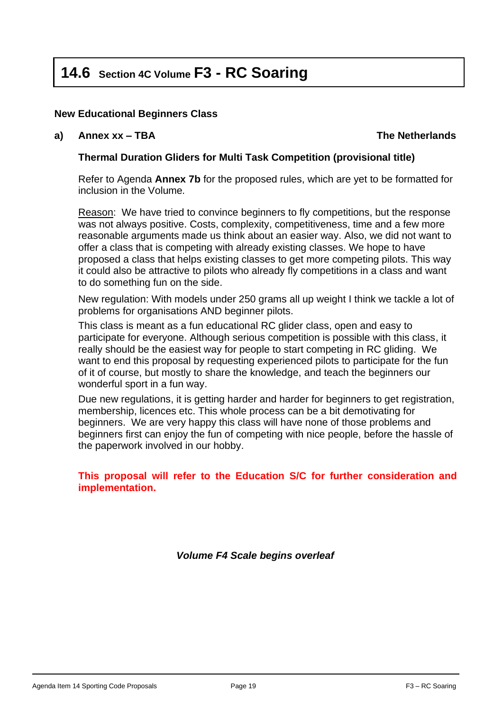# **14.6 Section 4C Volume F3 - RC Soaring**

# **New Educational Beginners Class**

**a) Annex xx – TBA The Netherlands**

# **Thermal Duration Gliders for Multi Task Competition (provisional title)**

Refer to Agenda **Annex 7b** for the proposed rules, which are yet to be formatted for inclusion in the Volume*.*

Reason: We have tried to convince beginners to fly competitions, but the response was not always positive. Costs, complexity, competitiveness, time and a few more reasonable arguments made us think about an easier way. Also, we did not want to offer a class that is competing with already existing classes. We hope to have proposed a class that helps existing classes to get more competing pilots. This way it could also be attractive to pilots who already fly competitions in a class and want to do something fun on the side.

New regulation: With models under 250 grams all up weight I think we tackle a lot of problems for organisations AND beginner pilots.

This class is meant as a fun educational RC glider class, open and easy to participate for everyone. Although serious competition is possible with this class, it really should be the easiest way for people to start competing in RC gliding. We want to end this proposal by requesting experienced pilots to participate for the fun of it of course, but mostly to share the knowledge, and teach the beginners our wonderful sport in a fun way.

Due new regulations, it is getting harder and harder for beginners to get registration, membership, licences etc. This whole process can be a bit demotivating for beginners. We are very happy this class will have none of those problems and beginners first can enjoy the fun of competing with nice people, before the hassle of the paperwork involved in our hobby.

**This proposal will refer to the Education S/C for further consideration and implementation.** 

*Volume F4 Scale begins overleaf*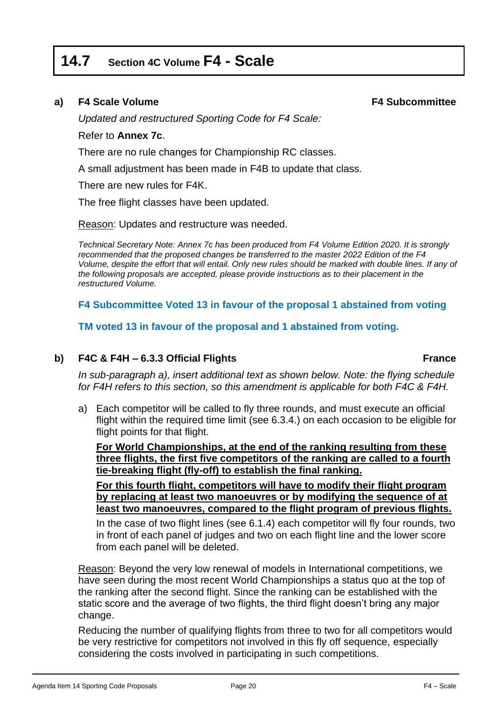# **14.7 Section 4C Volume F4 - Scale**

## **a) F4 Scale Volume F4 Subcommittee**

*Updated and restructured Sporting Code for F4 Scale:*

#### Refer to **Annex 7c**.

There are no rule changes for Championship RC classes.

A small adjustment has been made in F4B to update that class.

There are new rules for F4K.

The free flight classes have been updated.

Reason: Updates and restructure was needed.

*Technical Secretary Note: Annex 7c has been produced from F4 Volume Edition 2020. It is strongly recommended that the proposed changes be transferred to the master 2022 Edition of the F4 Volume, despite the effort that will entail. Only new rules should be marked with double lines. If any of the following proposals are accepted, please provide instructions as to their placement in the restructured Volume.*

**F4 Subcommittee Voted 13 in favour of the proposal 1 abstained from voting**

**TM voted 13 in favour of the proposal and 1 abstained from voting.**

## **b) F4C & F4H – 6.3.3 Official Flights France**

*In sub-paragraph a), insert additional text as shown below. Note: the flying schedule for F4H refers to this section, so this amendment is applicable for both F4C & F4H.*

a) Each competitor will be called to fly three rounds, and must execute an official flight within the required time limit (see 6.3.4.) on each occasion to be eligible for flight points for that flight.

**For World Championships, at the end of the ranking resulting from these three flights, the first five competitors of the ranking are called to a fourth tie-breaking flight (fly-off) to establish the final ranking.**

**For this fourth flight, competitors will have to modify their flight program by replacing at least two manoeuvres or by modifying the sequence of at least two manoeuvres, compared to the flight program of previous flights.**

In the case of two flight lines (see 6.1.4) each competitor will fly four rounds, two in front of each panel of judges and two on each flight line and the lower score from each panel will be deleted.

Reason: Beyond the very low renewal of models in International competitions, we have seen during the most recent World Championships a status quo at the top of the ranking after the second flight. Since the ranking can be established with the static score and the average of two flights, the third flight doesn't bring any major change.

Reducing the number of qualifying flights from three to two for all competitors would be very restrictive for competitors not involved in this fly off sequence, especially considering the costs involved in participating in such competitions.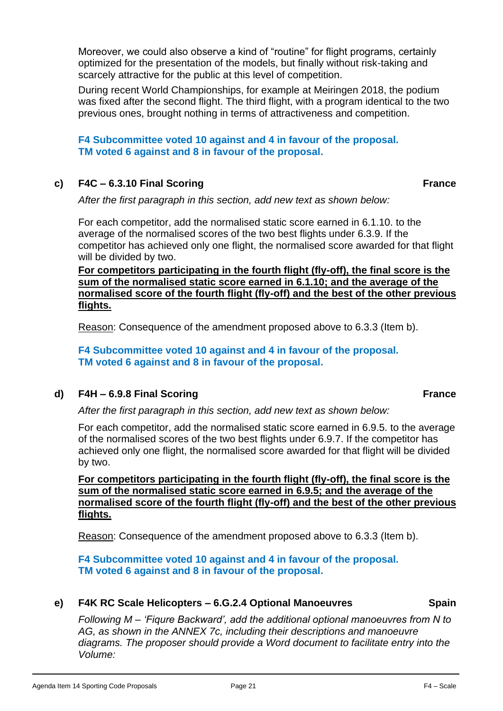Moreover, we could also observe a kind of "routine" for flight programs, certainly optimized for the presentation of the models, but finally without risk-taking and scarcely attractive for the public at this level of competition.

During recent World Championships, for example at Meiringen 2018, the podium was fixed after the second flight. The third flight, with a program identical to the two previous ones, brought nothing in terms of attractiveness and competition.

**F4 Subcommittee voted 10 against and 4 in favour of the proposal. TM voted 6 against and 8 in favour of the proposal.**

# **c) F4C – 6.3.10 Final Scoring France**

*After the first paragraph in this section, add new text as shown below:*

For each competitor, add the normalised static score earned in 6.1.10. to the average of the normalised scores of the two best flights under 6.3.9. If the competitor has achieved only one flight, the normalised score awarded for that flight will be divided by two.

**For competitors participating in the fourth flight (fly-off), the final score is the sum of the normalised static score earned in 6.1.10; and the average of the normalised score of the fourth flight (fly-off) and the best of the other previous flights.**

Reason: Consequence of the amendment proposed above to 6.3.3 (Item b).

**F4 Subcommittee voted 10 against and 4 in favour of the proposal. TM voted 6 against and 8 in favour of the proposal.**

**d) F4H – 6.9.8 Final Scoring France**

*After the first paragraph in this section, add new text as shown below:*

For each competitor, add the normalised static score earned in 6.9.5. to the average of the normalised scores of the two best flights under 6.9.7. If the competitor has achieved only one flight, the normalised score awarded for that flight will be divided by two.

**For competitors participating in the fourth flight (fly-off), the final score is the sum of the normalised static score earned in 6.9.5; and the average of the normalised score of the fourth flight (fly-off) and the best of the other previous flights.** 

Reason: Consequence of the amendment proposed above to 6.3.3 (Item b).

**F4 Subcommittee voted 10 against and 4 in favour of the proposal. TM voted 6 against and 8 in favour of the proposal.**

## **e) F4K RC Scale Helicopters – 6.G.2.4 Optional Manoeuvres Spain**

*Following M – 'Fiqure Backward', add the additional optional manoeuvres from N to AG, as shown in the ANNEX 7c, including their descriptions and manoeuvre diagrams. The proposer should provide a Word document to facilitate entry into the Volume:*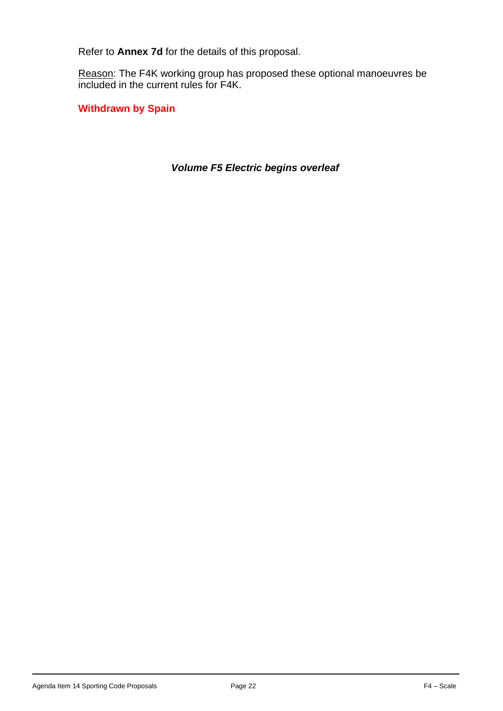Refer to **Annex 7d** for the details of this proposal.

Reason: The F4K working group has proposed these optional manoeuvres be included in the current rules for F4K.

**Withdrawn by Spain**

*Volume F5 Electric begins overleaf*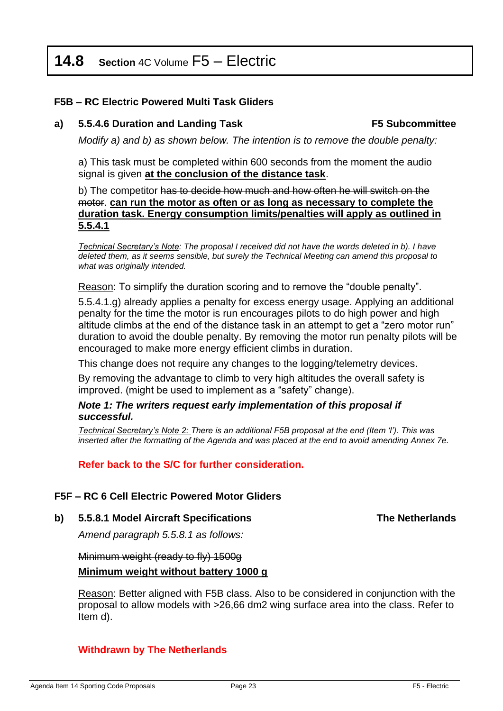# **14.8 Section** 4C Volume F5 – Electric

#### **F5B – RC Electric Powered Multi Task Gliders**

#### **a) 5.5.4.6 Duration and Landing Task F5 Subcommittee**

*Modify a) and b) as shown below. The intention is to remove the double penalty:*

a) This task must be completed within 600 seconds from the moment the audio signal is given **at the conclusion of the distance task**.

b) The competitor has to decide how much and how often he will switch on the motor. **can run the motor as often or as long as necessary to complete the duration task. Energy consumption limits/penalties will apply as outlined in 5.5.4.1**

*Technical Secretary's Note: The proposal I received did not have the words deleted in b). I have deleted them, as it seems sensible, but surely the Technical Meeting can amend this proposal to what was originally intended.*

Reason: To simplify the duration scoring and to remove the "double penalty".

5.5.4.1.g) already applies a penalty for excess energy usage. Applying an additional penalty for the time the motor is run encourages pilots to do high power and high altitude climbs at the end of the distance task in an attempt to get a "zero motor run" duration to avoid the double penalty. By removing the motor run penalty pilots will be encouraged to make more energy efficient climbs in duration.

This change does not require any changes to the logging/telemetry devices.

By removing the advantage to climb to very high altitudes the overall safety is improved. (might be used to implement as a "safety" change).

#### *Note 1: The writers request early implementation of this proposal if successful.*

*Technical Secretary's Note 2: There is an additional F5B proposal at the end (Item 'l'). This was inserted after the formatting of the Agenda and was placed at the end to avoid amending Annex 7e.*

**Refer back to the S/C for further consideration.** 

#### **F5F – RC 6 Cell Electric Powered Motor Gliders**

**b) 5.5.8.1 Model Aircraft Specifications The Netherlands**

*Amend paragraph 5.5.8.1 as follows:*

# Minimum weight (ready to fly) 1500g **Minimum weight without battery 1000 g**

Reason: Better aligned with F5B class. Also to be considered in conjunction with the proposal to allow models with >26,66 dm2 wing surface area into the class. Refer to Item d).

## **Withdrawn by The Netherlands**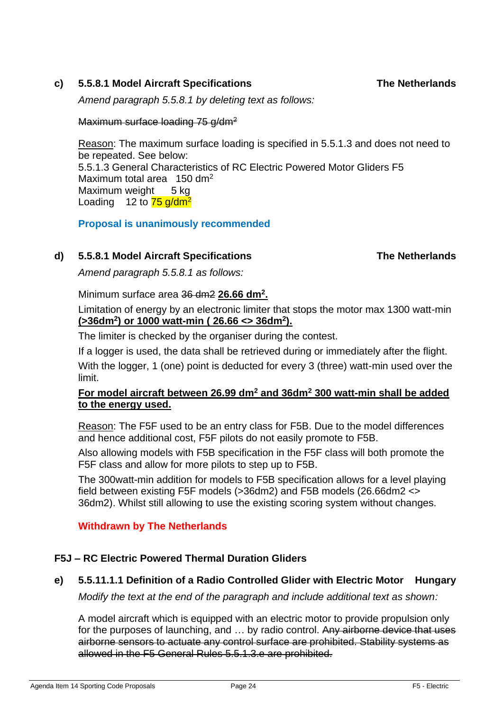# **c) 5.5.8.1 Model Aircraft Specifications The Netherlands**

*Amend paragraph 5.5.8.1 by deleting text as follows:*

Maximum surface loading 75 g/dm<sup>2</sup>

Reason: The maximum surface loading is specified in 5.5.1.3 and does not need to be repeated. See below: 5.5.1.3 General Characteristics of RC Electric Powered Motor Gliders F5 Maximum total area 150 dm<sup>2</sup> Maximum weight 5 kg Loading 12 to  $\frac{75 \text{ g}}{\text{dm}^2}$ 

**Proposal is unanimously recommended**

# **d) 5.5.8.1 Model Aircraft Specifications The Netherlands**

*Amend paragraph 5.5.8.1 as follows:*

Minimum surface area 36 dm2 **26.66 dm<sup>2</sup> .**

Limitation of energy by an electronic limiter that stops the motor max 1300 watt-min **(>36dm<sup>2</sup> ) or 1000 watt-min ( 26.66 <> 36dm<sup>2</sup> ).**

The limiter is checked by the organiser during the contest.

If a logger is used, the data shall be retrieved during or immediately after the flight.

With the logger, 1 (one) point is deducted for every 3 (three) watt-min used over the limit.

# **For model aircraft between 26.99 dm<sup>2</sup> and 36dm<sup>2</sup> 300 watt-min shall be added to the energy used.**

Reason: The F5F used to be an entry class for F5B. Due to the model differences and hence additional cost, F5F pilots do not easily promote to F5B.

Also allowing models with F5B specification in the F5F class will both promote the F5F class and allow for more pilots to step up to F5B.

The 300watt-min addition for models to F5B specification allows for a level playing field between existing F5F models (>36dm2) and F5B models (26.66dm2 <> 36dm2). Whilst still allowing to use the existing scoring system without changes.

# **Withdrawn by The Netherlands**

# **F5J – RC Electric Powered Thermal Duration Gliders**

# **e) 5.5.11.1.1 Definition of a Radio Controlled Glider with Electric Motor Hungary**

*Modify the text at the end of the paragraph and include additional text as shown:*

A model aircraft which is equipped with an electric motor to provide propulsion only for the purposes of launching, and ... by radio control. Any airborne device that uses airborne sensors to actuate any control surface are prohibited. Stability systems as allowed in the F5 General Rules 5.5.1.3.e are prohibited.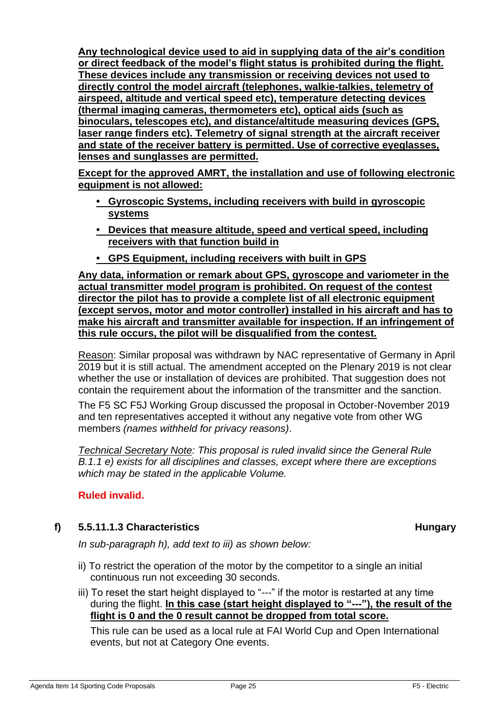**Any technological device used to aid in supplying data of the air's condition or direct feedback of the model's flight status is prohibited during the flight. These devices include any transmission or receiving devices not used to directly control the model aircraft (telephones, walkie-talkies, telemetry of airspeed, altitude and vertical speed etc), temperature detecting devices (thermal imaging cameras, thermometers etc), optical aids (such as binoculars, telescopes etc), and distance/altitude measuring devices (GPS, laser range finders etc). Telemetry of signal strength at the aircraft receiver and state of the receiver battery is permitted. Use of corrective eyeglasses, lenses and sunglasses are permitted.** 

**Except for the approved AMRT, the installation and use of following electronic equipment is not allowed:** 

- **• Gyroscopic Systems, including receivers with build in gyroscopic systems**
- **• Devices that measure altitude, speed and vertical speed, including receivers with that function build in**
- **• GPS Equipment, including receivers with built in GPS**

**Any data, information or remark about GPS, gyroscope and variometer in the actual transmitter model program is prohibited. On request of the contest director the pilot has to provide a complete list of all electronic equipment (except servos, motor and motor controller) installed in his aircraft and has to make his aircraft and transmitter available for inspection. If an infringement of this rule occurs, the pilot will be disqualified from the contest.** 

Reason: Similar proposal was withdrawn by NAC representative of Germany in April 2019 but it is still actual. The amendment accepted on the Plenary 2019 is not clear whether the use or installation of devices are prohibited. That suggestion does not contain the requirement about the information of the transmitter and the sanction.

The F5 SC F5J Working Group discussed the proposal in October-November 2019 and ten representatives accepted it without any negative vote from other WG members *(names withheld for privacy reasons)*.

*Technical Secretary Note: This proposal is ruled invalid since the General Rule B.1.1 e) exists for all disciplines and classes, except where there are exceptions which may be stated in the applicable Volume.*

# **Ruled invalid.**

# **f) 5.5.11.1.3 Characteristics Hungary**

*In sub-paragraph h), add text to iii) as shown below:*

- ii) To restrict the operation of the motor by the competitor to a single an initial continuous run not exceeding 30 seconds.
- iii) To reset the start height displayed to "---" if the motor is restarted at any time during the flight. **In this case (start height displayed to "---"), the result of the flight is 0 and the 0 result cannot be dropped from total score.**

This rule can be used as a local rule at FAI World Cup and Open International events, but not at Category One events.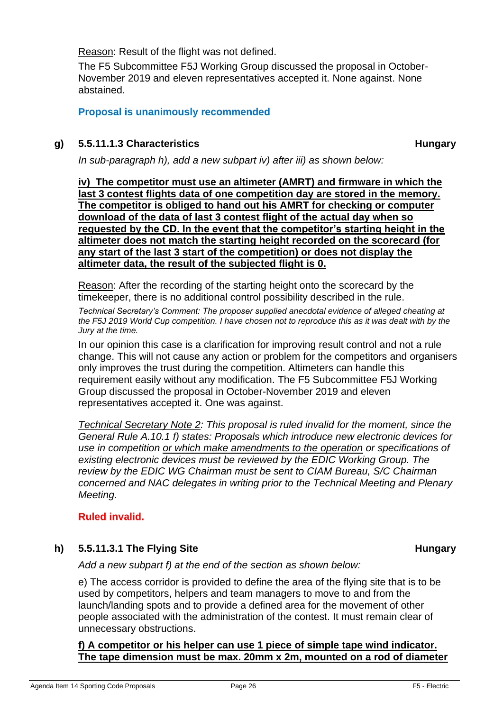Reason: Result of the flight was not defined.

The F5 Subcommittee F5J Working Group discussed the proposal in October-November 2019 and eleven representatives accepted it. None against. None abstained.

# **Proposal is unanimously recommended**

# **g) 5.5.11.1.3 Characteristics Hungary**

*In sub-paragraph h), add a new subpart iv) after iii) as shown below:*

**iv) The competitor must use an altimeter (AMRT) and firmware in which the last 3 contest flights data of one competition day are stored in the memory. The competitor is obliged to hand out his AMRT for checking or computer download of the data of last 3 contest flight of the actual day when so requested by the CD. In the event that the competitor's starting height in the altimeter does not match the starting height recorded on the scorecard (for any start of the last 3 start of the competition) or does not display the altimeter data, the result of the subjected flight is 0.** 

Reason: After the recording of the starting height onto the scorecard by the timekeeper, there is no additional control possibility described in the rule.

*Technical Secretary's Comment: The proposer supplied anecdotal evidence of alleged cheating at the F5J 2019 World Cup competition. I have chosen not to reproduce this as it was dealt with by the Jury at the time.*

In our opinion this case is a clarification for improving result control and not a rule change. This will not cause any action or problem for the competitors and organisers only improves the trust during the competition. Altimeters can handle this requirement easily without any modification. The F5 Subcommittee F5J Working Group discussed the proposal in October-November 2019 and eleven representatives accepted it. One was against.

*Technical Secretary Note 2: This proposal is ruled invalid for the moment, since the General Rule A.10.1 f) states: Proposals which introduce new electronic devices for use in competition or which make amendments to the operation or specifications of existing electronic devices must be reviewed by the EDIC Working Group. The review by the EDIC WG Chairman must be sent to CIAM Bureau, S/C Chairman concerned and NAC delegates in writing prior to the Technical Meeting and Plenary Meeting.*

# **Ruled invalid.**

# **h) 5.5.11.3.1 The Flying Site Hungary**

*Add a new subpart f) at the end of the section as shown below:*

e) The access corridor is provided to define the area of the flying site that is to be used by competitors, helpers and team managers to move to and from the launch/landing spots and to provide a defined area for the movement of other people associated with the administration of the contest. It must remain clear of unnecessary obstructions.

#### **f) A competitor or his helper can use 1 piece of simple tape wind indicator. The tape dimension must be max. 20mm x 2m, mounted on a rod of diameter**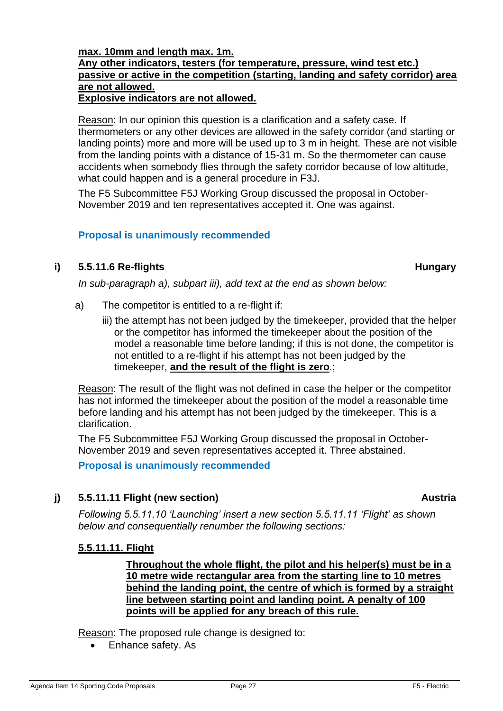# **max. 10mm and length max. 1m. Any other indicators, testers (for temperature, pressure, wind test etc.) passive or active in the competition (starting, landing and safety corridor) area are not allowed.**

#### **Explosive indicators are not allowed.**

Reason: In our opinion this question is a clarification and a safety case. If thermometers or any other devices are allowed in the safety corridor (and starting or landing points) more and more will be used up to 3 m in height. These are not visible from the landing points with a distance of 15-31 m. So the thermometer can cause accidents when somebody flies through the safety corridor because of low altitude, what could happen and is a general procedure in F3J.

The F5 Subcommittee F5J Working Group discussed the proposal in October-November 2019 and ten representatives accepted it. One was against.

#### **Proposal is unanimously recommended**

## **i) 5.5.11.6 Re-flights Hungary**

*In sub-paragraph a), subpart iii), add text at the end as shown below:*

- a) The competitor is entitled to a re-flight if:
	- iii) the attempt has not been judged by the timekeeper, provided that the helper or the competitor has informed the timekeeper about the position of the model a reasonable time before landing; if this is not done, the competitor is not entitled to a re-flight if his attempt has not been judged by the timekeeper, **and the result of the flight is zero**.;

Reason: The result of the flight was not defined in case the helper or the competitor has not informed the timekeeper about the position of the model a reasonable time before landing and his attempt has not been judged by the timekeeper. This is a clarification.

The F5 Subcommittee F5J Working Group discussed the proposal in October-November 2019 and seven representatives accepted it. Three abstained.

**Proposal is unanimously recommended**

## **j) 5.5.11.11 Flight (new section) Austria**

*Following 5.5.11.10 'Launching' insert a new section 5.5.11.11 'Flight' as shown below and consequentially renumber the following sections:*

## **5.5.11.11. Flight**

**Throughout the whole flight, the pilot and his helper(s) must be in a 10 metre wide rectangular area from the starting line to 10 metres behind the landing point, the centre of which is formed by a straight line between starting point and landing point. A penalty of 100 points will be applied for any breach of this rule.** 

Reason: The proposed rule change is designed to:

• Enhance safety. As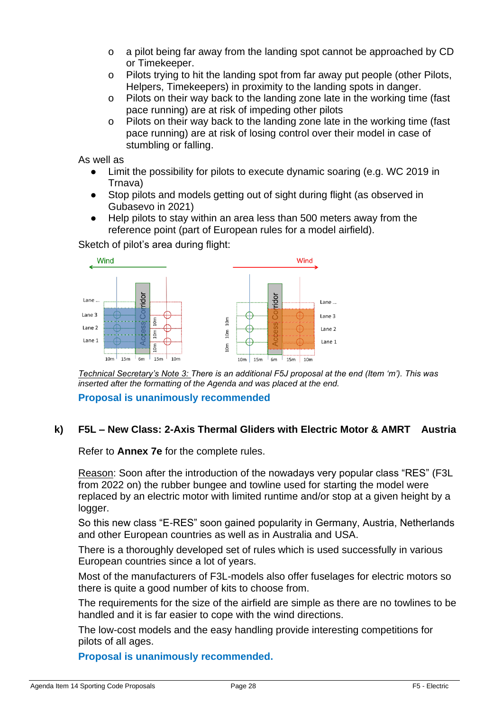- o a pilot being far away from the landing spot cannot be approached by CD or Timekeeper.
- o Pilots trying to hit the landing spot from far away put people (other Pilots, Helpers, Timekeepers) in proximity to the landing spots in danger.
- o Pilots on their way back to the landing zone late in the working time (fast pace running) are at risk of impeding other pilots
- o Pilots on their way back to the landing zone late in the working time (fast pace running) are at risk of losing control over their model in case of stumbling or falling.

As well as

- Limit the possibility for pilots to execute dynamic soaring (e.g. WC 2019 in Trnava)
- Stop pilots and models getting out of sight during flight (as observed in Gubasevo in 2021)
- Help pilots to stay within an area less than 500 meters away from the reference point (part of European rules for a model airfield).

Sketch of pilot's area during flight:



*Technical Secretary's Note 3: There is an additional F5J proposal at the end (Item 'm'). This was inserted after the formatting of the Agenda and was placed at the end.* 

**Proposal is unanimously recommended**

## **k) F5L – New Class: 2-Axis Thermal Gliders with Electric Motor & AMRT Austria**

Refer to **Annex 7e** for the complete rules.

Reason: Soon after the introduction of the nowadays very popular class "RES" (F3L from 2022 on) the rubber bungee and towline used for starting the model were replaced by an electric motor with limited runtime and/or stop at a given height by a logger.

So this new class "E-RES" soon gained popularity in Germany, Austria, Netherlands and other European countries as well as in Australia and USA.

There is a thoroughly developed set of rules which is used successfully in various European countries since a lot of years.

Most of the manufacturers of F3L-models also offer fuselages for electric motors so there is quite a good number of kits to choose from.

The requirements for the size of the airfield are simple as there are no towlines to be handled and it is far easier to cope with the wind directions.

The low-cost models and the easy handling provide interesting competitions for pilots of all ages.

**Proposal is unanimously recommended.**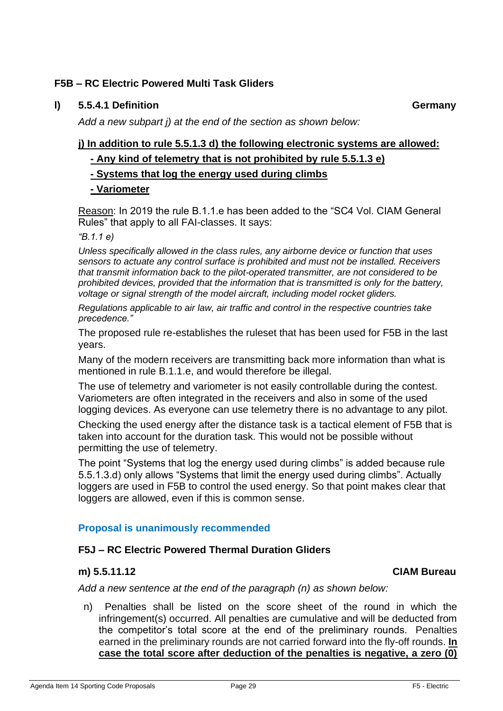# **F5B – RC Electric Powered Multi Task Gliders**

# **l) 5.5.4.1 Definition Germany**

*Add a new subpart j) at the end of the section as shown below:*

# **j) In addition to rule 5.5.1.3 d) the following electronic systems are allowed:**

**- Any kind of telemetry that is not prohibited by rule 5.5.1.3 e)**

# **- Systems that log the energy used during climbs**

# **- Variometer**

Reason: In 2019 the rule B.1.1.e has been added to the "SC4 Vol. CIAM General Rules" that apply to all FAI-classes. It says:

*"B.1.1 e)*

*Unless specifically allowed in the class rules, any airborne device or function that uses sensors to actuate any control surface is prohibited and must not be installed. Receivers that transmit information back to the pilot-operated transmitter, are not considered to be prohibited devices, provided that the information that is transmitted is only for the battery, voltage or signal strength of the model aircraft, including model rocket gliders.*

*Regulations applicable to air law, air traffic and control in the respective countries take precedence."*

The proposed rule re-establishes the ruleset that has been used for F5B in the last years.

Many of the modern receivers are transmitting back more information than what is mentioned in rule B.1.1.e, and would therefore be illegal.

The use of telemetry and variometer is not easily controllable during the contest. Variometers are often integrated in the receivers and also in some of the used logging devices. As everyone can use telemetry there is no advantage to any pilot.

Checking the used energy after the distance task is a tactical element of F5B that is taken into account for the duration task. This would not be possible without permitting the use of telemetry.

The point "Systems that log the energy used during climbs" is added because rule 5.5.1.3.d) only allows "Systems that limit the energy used during climbs". Actually loggers are used in F5B to control the used energy. So that point makes clear that loggers are allowed, even if this is common sense.

# **Proposal is unanimously recommended**

# **F5J – RC Electric Powered Thermal Duration Gliders**

#### **m) 5.5.11.12 CIAM Bureau**

*Add a new sentence at the end of the paragraph (n) as shown below:*

n) Penalties shall be listed on the score sheet of the round in which the infringement(s) occurred. All penalties are cumulative and will be deducted from the competitor's total score at the end of the preliminary rounds. Penalties earned in the preliminary rounds are not carried forward into the fly-off rounds. **In case the total score after deduction of the penalties is negative, a zero (0)**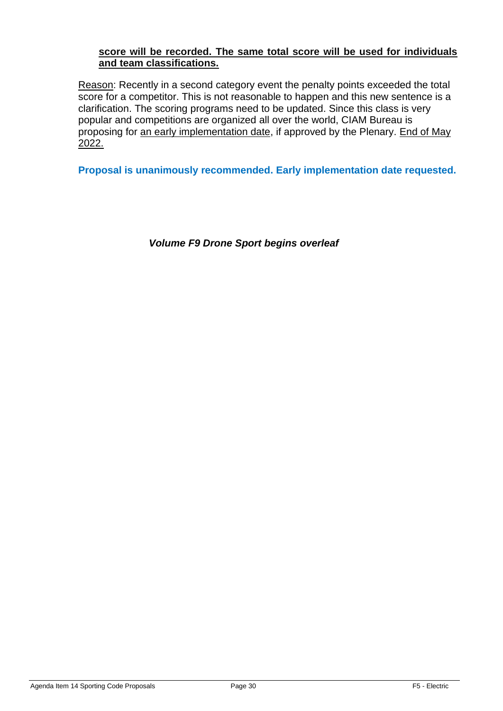## **score will be recorded. The same total score will be used for individuals and team classifications.**

Reason: Recently in a second category event the penalty points exceeded the total score for a competitor. This is not reasonable to happen and this new sentence is a clarification. The scoring programs need to be updated. Since this class is very popular and competitions are organized all over the world, CIAM Bureau is proposing for an early implementation date, if approved by the Plenary. End of May 2022.

**Proposal is unanimously recommended. Early implementation date requested.** 

*Volume F9 Drone Sport begins overleaf*